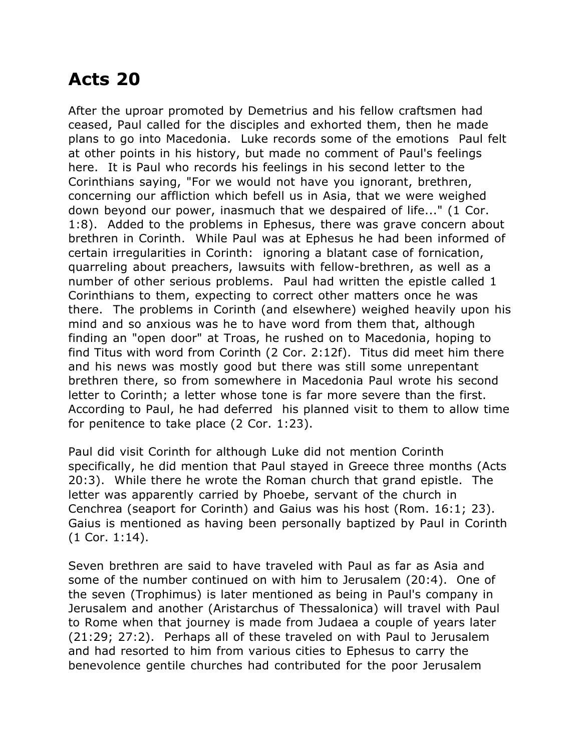## **Acts 20**

After the uproar promoted by Demetrius and his fellow craftsmen had ceased, Paul called for the disciples and exhorted them, then he made plans to go into Macedonia. Luke records some of the emotions Paul felt at other points in his history, but made no comment of Paul's feelings here. It is Paul who records his feelings in his second letter to the Corinthians saying, "For we would not have you ignorant, brethren, concerning our affliction which befell us in Asia, that we were weighed down beyond our power, inasmuch that we despaired of life..." (1 Cor. 1:8). Added to the problems in Ephesus, there was grave concern about brethren in Corinth. While Paul was at Ephesus he had been informed of certain irregularities in Corinth: ignoring a blatant case of fornication, quarreling about preachers, lawsuits with fellow-brethren, as well as a number of other serious problems. Paul had written the epistle called 1 Corinthians to them, expecting to correct other matters once he was there. The problems in Corinth (and elsewhere) weighed heavily upon his mind and so anxious was he to have word from them that, although finding an "open door" at Troas, he rushed on to Macedonia, hoping to find Titus with word from Corinth (2 Cor. 2:12f). Titus did meet him there and his news was mostly good but there was still some unrepentant brethren there, so from somewhere in Macedonia Paul wrote his second letter to Corinth; a letter whose tone is far more severe than the first. According to Paul, he had deferred his planned visit to them to allow time for penitence to take place (2 Cor. 1:23).

Paul did visit Corinth for although Luke did not mention Corinth specifically, he did mention that Paul stayed in Greece three months (Acts 20:3). While there he wrote the Roman church that grand epistle. The letter was apparently carried by Phoebe, servant of the church in Cenchrea (seaport for Corinth) and Gaius was his host (Rom. 16:1; 23). Gaius is mentioned as having been personally baptized by Paul in Corinth (1 Cor. 1:14).

Seven brethren are said to have traveled with Paul as far as Asia and some of the number continued on with him to Jerusalem (20:4). One of the seven (Trophimus) is later mentioned as being in Paul's company in Jerusalem and another (Aristarchus of Thessalonica) will travel with Paul to Rome when that journey is made from Judaea a couple of years later (21:29; 27:2). Perhaps all of these traveled on with Paul to Jerusalem and had resorted to him from various cities to Ephesus to carry the benevolence gentile churches had contributed for the poor Jerusalem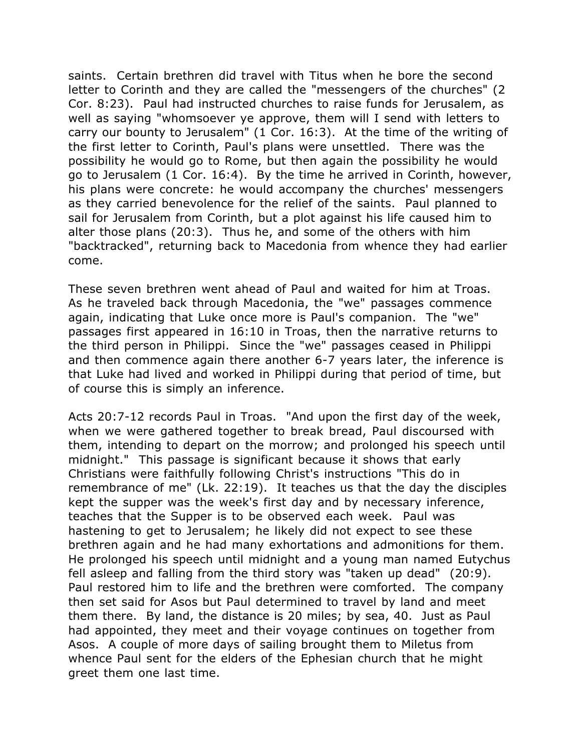saints. Certain brethren did travel with Titus when he bore the second letter to Corinth and they are called the "messengers of the churches" (2 Cor. 8:23). Paul had instructed churches to raise funds for Jerusalem, as well as saying "whomsoever ye approve, them will I send with letters to carry our bounty to Jerusalem" (1 Cor. 16:3). At the time of the writing of the first letter to Corinth, Paul's plans were unsettled. There was the possibility he would go to Rome, but then again the possibility he would go to Jerusalem (1 Cor. 16:4). By the time he arrived in Corinth, however, his plans were concrete: he would accompany the churches' messengers as they carried benevolence for the relief of the saints. Paul planned to sail for Jerusalem from Corinth, but a plot against his life caused him to alter those plans (20:3). Thus he, and some of the others with him "backtracked", returning back to Macedonia from whence they had earlier come.

These seven brethren went ahead of Paul and waited for him at Troas. As he traveled back through Macedonia, the "we" passages commence again, indicating that Luke once more is Paul's companion. The "we" passages first appeared in 16:10 in Troas, then the narrative returns to the third person in Philippi. Since the "we" passages ceased in Philippi and then commence again there another 6-7 years later, the inference is that Luke had lived and worked in Philippi during that period of time, but of course this is simply an inference.

Acts 20:7-12 records Paul in Troas. "And upon the first day of the week, when we were gathered together to break bread, Paul discoursed with them, intending to depart on the morrow; and prolonged his speech until midnight." This passage is significant because it shows that early Christians were faithfully following Christ's instructions "This do in remembrance of me" (Lk. 22:19). It teaches us that the day the disciples kept the supper was the week's first day and by necessary inference, teaches that the Supper is to be observed each week. Paul was hastening to get to Jerusalem; he likely did not expect to see these brethren again and he had many exhortations and admonitions for them. He prolonged his speech until midnight and a young man named Eutychus fell asleep and falling from the third story was "taken up dead" (20:9). Paul restored him to life and the brethren were comforted. The company then set said for Asos but Paul determined to travel by land and meet them there. By land, the distance is 20 miles; by sea, 40. Just as Paul had appointed, they meet and their voyage continues on together from Asos. A couple of more days of sailing brought them to Miletus from whence Paul sent for the elders of the Ephesian church that he might greet them one last time.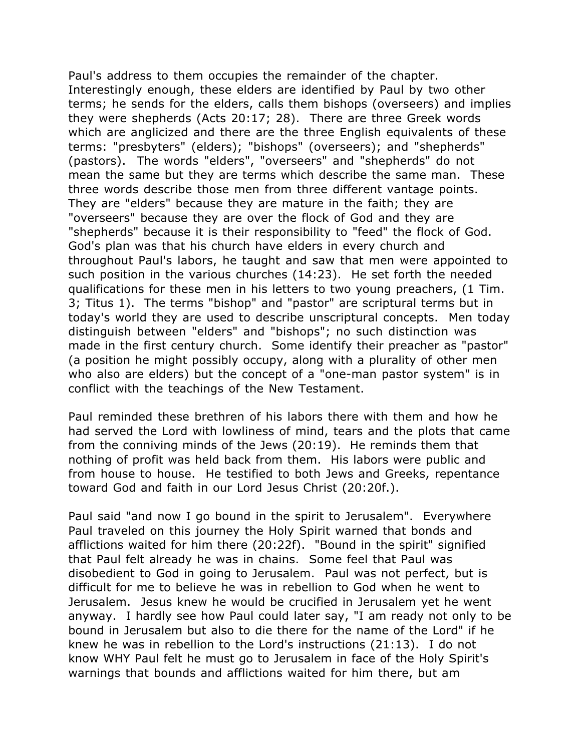Paul's address to them occupies the remainder of the chapter. Interestingly enough, these elders are identified by Paul by two other terms; he sends for the elders, calls them bishops (overseers) and implies they were shepherds (Acts 20:17; 28). There are three Greek words which are anglicized and there are the three English equivalents of these terms: "presbyters" (elders); "bishops" (overseers); and "shepherds" (pastors). The words "elders", "overseers" and "shepherds" do not mean the same but they are terms which describe the same man. These three words describe those men from three different vantage points. They are "elders" because they are mature in the faith; they are "overseers" because they are over the flock of God and they are "shepherds" because it is their responsibility to "feed" the flock of God. God's plan was that his church have elders in every church and throughout Paul's labors, he taught and saw that men were appointed to such position in the various churches (14:23). He set forth the needed qualifications for these men in his letters to two young preachers, (1 Tim. 3; Titus 1). The terms "bishop" and "pastor" are scriptural terms but in today's world they are used to describe unscriptural concepts. Men today distinguish between "elders" and "bishops"; no such distinction was made in the first century church. Some identify their preacher as "pastor" (a position he might possibly occupy, along with a plurality of other men who also are elders) but the concept of a "one-man pastor system" is in conflict with the teachings of the New Testament.

Paul reminded these brethren of his labors there with them and how he had served the Lord with lowliness of mind, tears and the plots that came from the conniving minds of the Jews (20:19). He reminds them that nothing of profit was held back from them. His labors were public and from house to house. He testified to both Jews and Greeks, repentance toward God and faith in our Lord Jesus Christ (20:20f.).

Paul said "and now I go bound in the spirit to Jerusalem". Everywhere Paul traveled on this journey the Holy Spirit warned that bonds and afflictions waited for him there (20:22f). "Bound in the spirit" signified that Paul felt already he was in chains. Some feel that Paul was disobedient to God in going to Jerusalem. Paul was not perfect, but is difficult for me to believe he was in rebellion to God when he went to Jerusalem. Jesus knew he would be crucified in Jerusalem yet he went anyway. I hardly see how Paul could later say, "I am ready not only to be bound in Jerusalem but also to die there for the name of the Lord" if he knew he was in rebellion to the Lord's instructions (21:13). I do not know WHY Paul felt he must go to Jerusalem in face of the Holy Spirit's warnings that bounds and afflictions waited for him there, but am